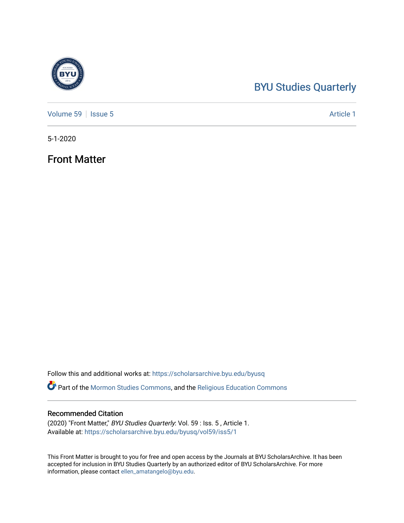## [BYU Studies Quarterly](https://scholarsarchive.byu.edu/byusq)

[Volume 59](https://scholarsarchive.byu.edu/byusq/vol59) | [Issue 5](https://scholarsarchive.byu.edu/byusq/vol59/iss5) Article 1

5-1-2020

Front Matter

Follow this and additional works at: [https://scholarsarchive.byu.edu/byusq](https://scholarsarchive.byu.edu/byusq?utm_source=scholarsarchive.byu.edu%2Fbyusq%2Fvol59%2Fiss5%2F1&utm_medium=PDF&utm_campaign=PDFCoverPages) 

Part of the [Mormon Studies Commons](http://network.bepress.com/hgg/discipline/1360?utm_source=scholarsarchive.byu.edu%2Fbyusq%2Fvol59%2Fiss5%2F1&utm_medium=PDF&utm_campaign=PDFCoverPages), and the [Religious Education Commons](http://network.bepress.com/hgg/discipline/1414?utm_source=scholarsarchive.byu.edu%2Fbyusq%2Fvol59%2Fiss5%2F1&utm_medium=PDF&utm_campaign=PDFCoverPages) 

### Recommended Citation

(2020) "Front Matter," BYU Studies Quarterly: Vol. 59 : Iss. 5 , Article 1. Available at: [https://scholarsarchive.byu.edu/byusq/vol59/iss5/1](https://scholarsarchive.byu.edu/byusq/vol59/iss5/1?utm_source=scholarsarchive.byu.edu%2Fbyusq%2Fvol59%2Fiss5%2F1&utm_medium=PDF&utm_campaign=PDFCoverPages)

This Front Matter is brought to you for free and open access by the Journals at BYU ScholarsArchive. It has been accepted for inclusion in BYU Studies Quarterly by an authorized editor of BYU ScholarsArchive. For more information, please contact [ellen\\_amatangelo@byu.edu.](mailto:ellen_amatangelo@byu.edu)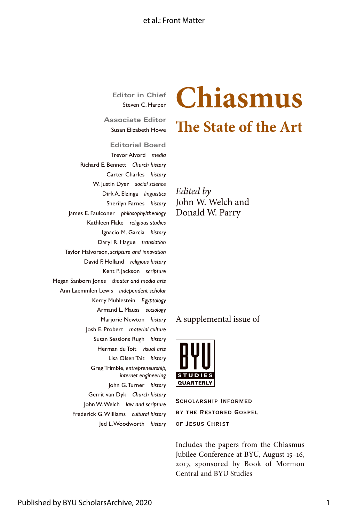### et al · Front Matter

**Editor in Chief** Steven C. Harper

**Associate Editor** Susan Elizabeth Howe

**Editorial Board** Trevor Alvord *media* Richard E. Bennett *Church history* Carter Charles *history* W. Justin Dyer *social science* Dirk A. Elzinga *linguistics* Sherilyn Farnes *history* James E. Faulconer *philosophy/theology* Kathleen Flake *religious studies* Ignacio M. Garcia *history* Daryl R. Hague *translation* Taylor Halvorson, *scripture and innovation* David F. Holland *religious history* Kent P. Jackson *scripture* Megan Sanborn Jones *theater and media arts* Ann Laemmlen Lewis *independent scholar* Kerry Muhlestein *Egyptology* Armand L. Mauss *sociology* Marjorie Newton *history* Josh E. Probert *material culture* Susan Sessions Rugh *history* Herman du Toit *visual arts* Lisa Olsen Tait *history* Greg Trimble, *entrepreneurship, internet engineering* John G. Turner *history* Gerrit van Dyk *Church history* John W. Welch *law and scripture* Frederick G. Williams *cultural history* Jed L. Woodworth *history*

# **Chiasmus The State of the Art**

*Edited by* John W. Welch and Donald W. Parry

### A supplemental issue of



Scholarship Informed by the Restored Gospel of Jesus Christ

Includes the papers from the Chiasmus Jubilee Conference at BYU, August 15–16, 2017, sponsored by Book of Mormon Central and BYU Studies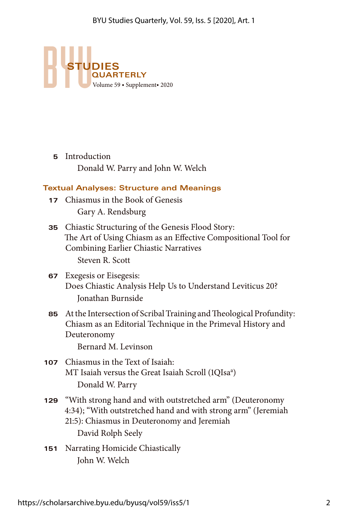

**5** Introduction Donald W. Parry and John W. Welch

### **Textual Analyses: Structure and Meanings**

- **17** Chiasmus in the Book of Genesis Gary A. Rendsburg
- **35** Chiastic Structuring of the Genesis Flood Story: The Art of Using Chiasm as an Effective Compositional Tool for Combining Earlier Chiastic Narratives Steven R. Scott
- **67** Exegesis or Eisegesis: Does Chiastic Analysis Help Us to Understand Leviticus 20? Jonathan Burnside
- **85** At the Intersection of Scribal Training and Theological Profundity: Chiasm as an Editorial Technique in the Primeval History and Deuteronomy

Bernard M. Levinson

- **107** Chiasmus in the Text of Isaiah: MT Isaiah versus the Great Isaiah Scroll (1QIsa<sup>a</sup>) Donald W. Parry
- **129** "With strong hand and with outstretched arm" (Deuteronomy 4:34); "With outstretched hand and with strong arm" (Jeremiah 21:5): Chiasmus in Deuteronomy and Jeremiah David Rolph Seely
- **151** Narrating Homicide Chiastically John W. Welch